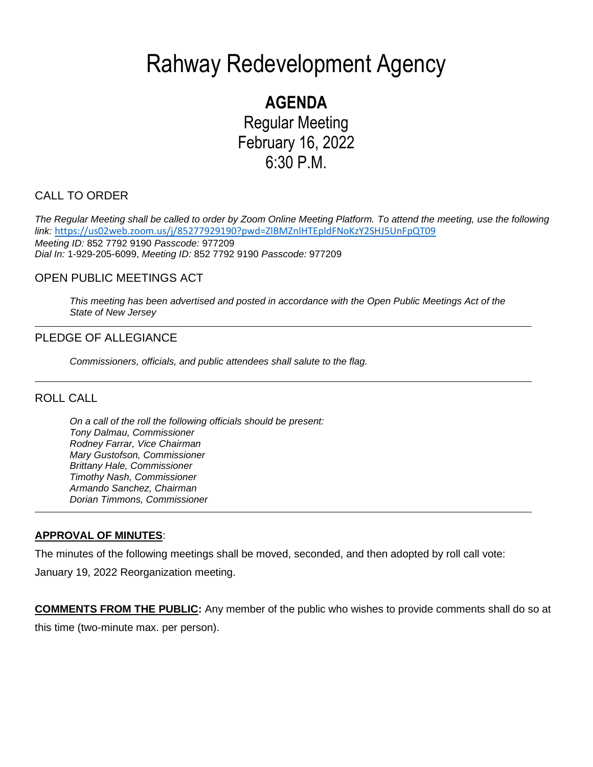# Rahway Redevelopment Agency

# **AGENDA** Regular Meeting

February 16, 2022 6:30 P.M.

# CALL TO ORDER

*The Regular Meeting shall be called to order by Zoom Online Meeting Platform. To attend the meeting, use the following link:* <https://us02web.zoom.us/j/85277929190?pwd=ZlBMZnlHTEpldFNoKzY2SHJ5UnFpQT09> *Meeting ID:* 852 7792 9190 *Passcode:* 977209 *Dial In:* 1-929-205-6099, *Meeting ID:* 852 7792 9190 *Passcode:* 977209

## OPEN PUBLIC MEETINGS ACT

*This meeting has been advertised and posted in accordance with the Open Public Meetings Act of the State of New Jersey*

# PLEDGE OF ALLEGIANCE

*Commissioners, officials, and public attendees shall salute to the flag.*

### ROLL CALL

*On a call of the roll the following officials should be present: Tony Dalmau, Commissioner Rodney Farrar, Vice Chairman Mary Gustofson, Commissioner Brittany Hale, Commissioner Timothy Nash, Commissioner Armando Sanchez, Chairman Dorian Timmons, Commissioner*

### **APPROVAL OF MINUTES**:

The minutes of the following meetings shall be moved, seconded, and then adopted by roll call vote:

January 19, 2022 Reorganization meeting.

**COMMENTS FROM THE PUBLIC:** Any member of the public who wishes to provide comments shall do so at this time (two-minute max. per person).